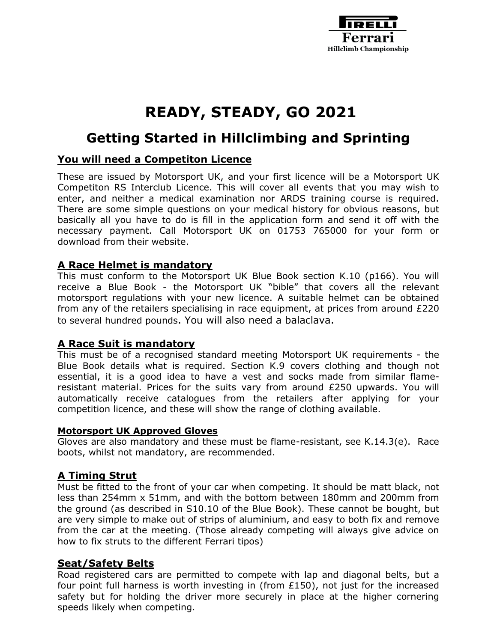

# **READY, STEADY, GO 2021**

# **Getting Started in Hillclimbing and Sprinting**

# **You will need a Competiton Licence**

These are issued by Motorsport UK, and your first licence will be a Motorsport UK Competiton RS Interclub Licence. This will cover all events that you may wish to enter, and neither a medical examination nor ARDS training course is required. There are some simple questions on your medical history for obvious reasons, but basically all you have to do is fill in the application form and send it off with the necessary payment. Call Motorsport UK on 01753 765000 for your form or download from their website.

#### **A Race Helmet is mandatory**

This must conform to the Motorsport UK Blue Book section K.10 (p166). You will receive a Blue Book - the Motorsport UK "bible" that covers all the relevant motorsport regulations with your new licence. A suitable helmet can be obtained from any of the retailers specialising in race equipment, at prices from around £220 to several hundred pounds. You will also need a balaclava.

#### **A Race Suit is mandatory**

This must be of a recognised standard meeting Motorsport UK requirements - the Blue Book details what is required. Section K.9 covers clothing and though not essential, it is a good idea to have a vest and socks made from similar flameresistant material. Prices for the suits vary from around £250 upwards. You will automatically receive catalogues from the retailers after applying for your competition licence, and these will show the range of clothing available.

#### **Motorsport UK Approved Gloves**

Gloves are also mandatory and these must be flame-resistant, see K.14.3(e). Race boots, whilst not mandatory, are recommended.

# **A Timing Strut**

Must be fitted to the front of your car when competing. It should be matt black, not less than 254mm x 51mm, and with the bottom between 180mm and 200mm from the ground (as described in S10.10 of the Blue Book). These cannot be bought, but are very simple to make out of strips of aluminium, and easy to both fix and remove from the car at the meeting. (Those already competing will always give advice on how to fix struts to the different Ferrari tipos)

#### **Seat/Safety Belts**

Road registered cars are permitted to compete with lap and diagonal belts, but a four point full harness is worth investing in (from £150), not just for the increased safety but for holding the driver more securely in place at the higher cornering speeds likely when competing.